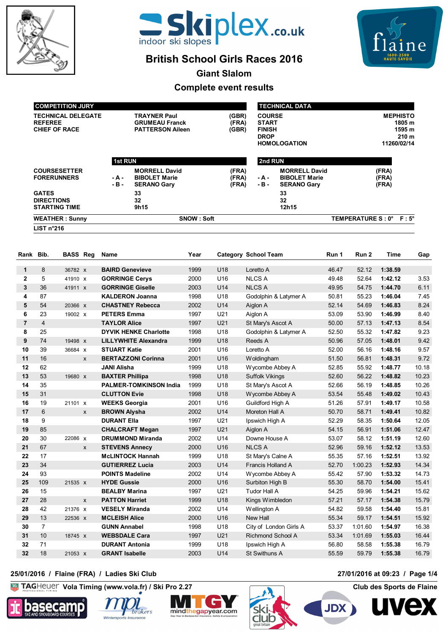



# **British School Girls Races 2016**



**Giant Slalom**

## **Complete event results**

| SNOW: Soft<br><b>WEATHER: Sunny</b><br>LIST n°216 |                         |                                                                    |                         |                               |                                                                    | TEMPERATURE S: 0° F: 5°         |  |
|---------------------------------------------------|-------------------------|--------------------------------------------------------------------|-------------------------|-------------------------------|--------------------------------------------------------------------|---------------------------------|--|
| <b>DIRECTIONS</b><br><b>STARTING TIME</b>         |                         | 32<br>9h15                                                         |                         |                               | 32<br>12h15                                                        |                                 |  |
| <b>GATES</b>                                      |                         | 33                                                                 |                         |                               | 33                                                                 |                                 |  |
| <b>COURSESETTER</b><br><b>FORERUNNERS</b>         | - A -<br>$-B -$         | <b>MORRELL David</b><br><b>BIBOLET Marie</b><br><b>SERANO Gary</b> | (FRA)<br>(FRA)<br>(FRA) | - A -<br>$-B -$               | <b>MORRELL David</b><br><b>BIBOLET Marie</b><br><b>SERANO Gary</b> | (FRA)<br>(FRA)<br>(FRA)         |  |
|                                                   | <b>1st RUN</b>          |                                                                    |                         | 2nd RUN                       |                                                                    |                                 |  |
| <b>CHIEF OF RACE</b>                              | <b>PATTERSON Aileen</b> |                                                                    | (GBR)                   | <b>FINISH</b><br><b>DROP</b>  | <b>HOMOLOGATION</b>                                                | 210 <sub>m</sub><br>11260/02/14 |  |
| <b>TECHNICAL DELEGATE</b><br><b>REFEREE</b>       |                         | <b>TRAYNER Paul</b><br><b>GRUMEAU Franck</b>                       | (GBR)<br>(FRA)          | <b>COURSE</b><br><b>START</b> | <b>MEPHISTO</b><br>1805 m<br>1595 m                                |                                 |  |
| <b>COMPETITION JURY</b>                           |                         |                                                                    |                         |                               | <b>TECHNICAL DATA</b>                                              |                                 |  |

| Rank Bib.      |                | <b>BASS Reg</b> |   | Name                          | Year |     | <b>Category School Team</b> | Run 1 | Run 2   | Time    | Gap   |
|----------------|----------------|-----------------|---|-------------------------------|------|-----|-----------------------------|-------|---------|---------|-------|
| $\mathbf 1$    | 8              | 36782 X         |   | <b>BAIRD Genevieve</b>        | 1999 | U18 | Loretto A                   | 46.47 | 52.12   | 1:38.59 |       |
| $\overline{2}$ | 5              | 41910 X         |   | <b>GORRINGE Cervs</b>         | 2000 | U16 | <b>NLCS A</b>               | 49.48 | 52.64   | 1:42.12 | 3.53  |
| 3              | 36             | 41911 x         |   | <b>GORRINGE Giselle</b>       | 2003 | U14 | <b>NLCS A</b>               | 49.95 | 54.75   | 1:44.70 | 6.11  |
| 4              | 87             |                 |   | <b>KALDERON Joanna</b>        | 1998 | U18 | Godolphin & Latymer A       | 50.81 | 55.23   | 1:46.04 | 7.45  |
| 5              | 54             | 20366 x         |   | <b>CHASTNEY Rebecca</b>       | 2002 | U14 | Aiglon A                    | 52.14 | 54.69   | 1:46.83 | 8.24  |
| 6              | 23             | 19002 X         |   | <b>PETERS Emma</b>            | 1997 | U21 | Aiglon A                    | 53.09 | 53.90   | 1:46.99 | 8.40  |
| $\overline{7}$ | $\overline{4}$ |                 |   | <b>TAYLOR Alice</b>           | 1997 | U21 | St Mary's Ascot A           | 50.00 | 57.13   | 1:47.13 | 8.54  |
| 8              | 25             |                 |   | <b>DYVIK HENKE Charlotte</b>  | 1998 | U18 | Godolphin & Latymer A       | 52.50 | 55.32   | 1:47.82 | 9.23  |
| 9              | 74             | 19498 X         |   | <b>LILLYWHITE Alexandra</b>   | 1999 | U18 | Reeds A                     | 50.96 | 57.05   | 1:48.01 | 9.42  |
| 10             | 39             | 36684 x         |   | <b>STUART Katie</b>           | 2001 | U16 | Loretto A                   | 52.00 | 56.16   | 1:48.16 | 9.57  |
| 11             | 16             |                 | X | <b>BERTAZZONI Corinna</b>     | 2001 | U16 | Woldingham                  | 51.50 | 56.81   | 1:48.31 | 9.72  |
| 12             | 62             |                 |   | <b>JANI Alisha</b>            | 1999 | U18 | Wycombe Abbey A             | 52.85 | 55.92   | 1:48.77 | 10.18 |
| 13             | 53             | 19680 x         |   | <b>BAXTER Phillipa</b>        | 1998 | U18 | <b>Suffolk Vikings</b>      | 52.60 | 56.22   | 1:48.82 | 10.23 |
| 14             | 35             |                 |   | <b>PALMER-TOMKINSON India</b> | 1999 | U18 | St Mary's Ascot A           | 52.66 | 56.19   | 1:48.85 | 10.26 |
| 15             | 31             |                 |   | <b>CLUTTON Evie</b>           | 1998 | U18 | Wycombe Abbey A             | 53.54 | 55.48   | 1:49.02 | 10.43 |
| 16             | 19             | 21101 X         |   | <b>WEEKS Georgia</b>          | 2001 | U16 | Guildford High A            | 51.26 | 57.91   | 1:49.17 | 10.58 |
| 17             | 6              |                 | X | <b>BROWN Alysha</b>           | 2002 | U14 | Moreton Hall A              | 50.70 | 58.71   | 1:49.41 | 10.82 |
| 18             | 9              |                 |   | <b>DURANT Ella</b>            | 1997 | U21 | Ipswich High A              | 52.29 | 58.35   | 1:50.64 | 12.05 |
| 19             | 85             |                 |   | <b>CHALCRAFT Megan</b>        | 1997 | U21 | Aiglon A                    | 54.15 | 56.91   | 1:51.06 | 12.47 |
| 20             | 30             | 22086 X         |   | <b>DRUMMOND Miranda</b>       | 2002 | U14 | Downe House A               | 53.07 | 58.12   | 1:51.19 | 12.60 |
| 21             | 67             |                 | X | <b>STEVENS Annecy</b>         | 2000 | U16 | <b>NLCS A</b>               | 52.96 | 59.16   | 1:52.12 | 13.53 |
| 22             | 17             |                 |   | <b>McLINTOCK Hannah</b>       | 1999 | U18 | St Mary's Calne A           | 55.35 | 57.16   | 1:52.51 | 13.92 |
| 23             | 34             |                 |   | <b>GUTIERREZ Lucia</b>        | 2003 | U14 | Francis Holland A           | 52.70 | 1:00.23 | 1:52.93 | 14.34 |
| 24             | 93             |                 |   | <b>POINTS Madeline</b>        | 2002 | U14 | Wycombe Abbey A             | 55.42 | 57.90   | 1:53.32 | 14.73 |
| 25             | 109            | 21535 X         |   | <b>HYDE Gussie</b>            | 2000 | U16 | Surbiton High B             | 55.30 | 58.70   | 1:54.00 | 15.41 |
| 26             | 15             |                 |   | <b>BEALBY Marina</b>          | 1997 | U21 | <b>Tudor Hall A</b>         | 54.25 | 59.96   | 1:54.21 | 15.62 |
| 27             | 28             |                 | X | <b>PATTON Harriet</b>         | 1999 | U18 | Kings Wimbledon             | 57.21 | 57.17   | 1:54.38 | 15.79 |
| 28             | 42             | 21376 x         |   | <b>VESELY Miranda</b>         | 2002 | U14 | Wellington A                | 54.82 | 59.58   | 1:54.40 | 15.81 |
| 29             | 13             | 22536 X         |   | <b>MCLEISH Alice</b>          | 2000 | U16 | New Hall                    | 55.34 | 59.17   | 1:54.51 | 15.92 |
| 30             | $\overline{7}$ |                 |   | <b>GUNN Annabel</b>           | 1998 | U18 | City of London Girls A      | 53.37 | 1:01.60 | 1:54.97 | 16.38 |
| 31             | 10             | 18745 X         |   | <b>WEBSDALE Cara</b>          | 1997 | U21 | <b>Richmond School A</b>    | 53.34 | 1:01.69 | 1:55.03 | 16.44 |
| 32             | 71             |                 |   | <b>DURANT Antonia</b>         | 1999 | U18 | Ipswich High A              | 56.80 | 58.58   | 1:55.38 | 16.79 |
| 32             | 18             | 21053 x         |   | <b>GRANT Isabelle</b>         | 2003 | U14 | St Swithuns A               | 55.59 | 59.79   | 1:55.38 | 16.79 |

### **25/01/2016 / Flaine (FRA) / Ladies Ski Club 27/01/2016 at 09:23 / Page 1/4**

 $K<sub>G</sub>$ **Vola Timing (www.vola.fr) / Ski Pro 2.27 Club des Sports de Flaine**









**JDX** 

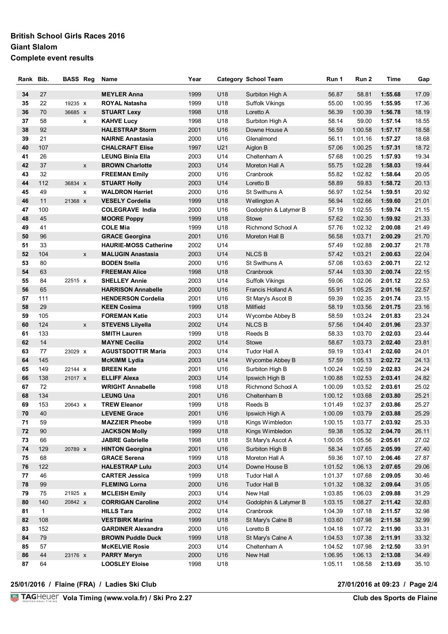### **British School Girls Races 2016 Giant Slalom Complete event results**

| Rank | Bib.         | <b>BASS Reg</b> |   | Name                         | Year |     | <b>Category School Team</b> | Run 1   | Run 2   | Time    | Gap   |
|------|--------------|-----------------|---|------------------------------|------|-----|-----------------------------|---------|---------|---------|-------|
|      |              |                 |   |                              |      |     |                             |         |         |         |       |
| 34   | 27           |                 |   | <b>MEYLER Anna</b>           | 1999 | U18 | Surbiton High A             | 56.87   | 58.81   | 1:55.68 | 17.09 |
| 35   | 22           | 19235 X         |   | <b>ROYAL Natasha</b>         | 1999 | U18 | Suffolk Vikings             | 55.00   | 1:00.95 | 1:55.95 | 17.36 |
| 36   | 70           | 36685 X         |   | <b>STUART Lexy</b>           | 1998 | U18 | Loretto A                   | 56.39   | 1:00.39 | 1:56.78 | 18.19 |
| 37   | 58           |                 | x | <b>KAHVE Lucy</b>            | 1998 | U18 | Surbiton High A             | 58.14   | 59.00   | 1:57.14 | 18.55 |
| 38   | 92           |                 |   | <b>HALESTRAP Storm</b>       | 2001 | U16 | Downe House A               | 56.59   | 1:00.58 | 1:57.17 | 18.58 |
| 39   | 21           |                 |   | <b>NAIRNE Anastasia</b>      | 2000 | U16 | Glenalmond                  | 56.11   | 1:01.16 | 1:57.27 | 18.68 |
| 40   | 107          |                 |   | <b>CHALCRAFT Elise</b>       | 1997 | U21 | Aiglon B                    | 57.06   | 1:00.25 | 1:57.31 | 18.72 |
| 41   | 26           |                 |   | <b>LEUNG Binia Ella</b>      | 2003 | U14 | Cheltenham A                | 57.68   | 1:00.25 | 1:57.93 | 19.34 |
| 42   | 37           |                 | X | <b>BROWN Charlotte</b>       | 2003 | U14 | Moreton Hall A              | 55.75   | 1:02.28 | 1:58.03 | 19.44 |
| 43   | 32           |                 |   | <b>FREEMAN Emily</b>         | 2000 | U16 | Cranbrook                   | 55.82   | 1:02.82 | 1:58.64 | 20.05 |
| 44   | 112          | 36834 X         |   | <b>STUART Holly</b>          | 2003 | U14 | Loretto B                   | 58.89   | 59.83   | 1:58.72 | 20.13 |
| 45   | 49           |                 | x | <b>WALDRON Harriet</b>       | 2000 | U16 | St Swithuns A               | 56.97   | 1:02.54 | 1:59.51 | 20.92 |
| 46   | 11           | 21368 X         |   | <b>VESELY Cordelia</b>       | 1999 | U18 | <b>Wellington A</b>         | 56.94   | 1:02.66 | 1:59.60 | 21.01 |
| 47   | 100          |                 |   | <b>COLEGRAVE India</b>       | 2000 | U16 | Godolphin & Latymer B       | 57.19   | 1:02.55 | 1:59.74 | 21.15 |
| 48   | 45           |                 |   | <b>MOORE Poppy</b>           | 1999 | U18 | Stowe                       | 57.62   | 1:02.30 | 1:59.92 | 21.33 |
| 49   | 41           |                 |   | <b>COLE Mia</b>              | 1999 | U18 | Richmond School A           | 57.76   | 1:02.32 | 2:00.08 | 21.49 |
| 50   | 96           |                 |   | <b>GRACE Georgina</b>        | 2001 | U16 | Moreton Hall B              | 56.58   | 1:03.71 | 2:00.29 | 21.70 |
| 51   | 33           |                 |   | <b>HAURIE-MOSS Catherine</b> | 2002 | U14 |                             | 57.49   | 1:02.88 | 2:00.37 | 21.78 |
| 52   | 104          |                 | X | <b>MALUGIN Anastasia</b>     | 2003 | U14 | <b>NLCS B</b>               | 57.42   | 1:03.21 | 2:00.63 | 22.04 |
| 53   | 80           |                 |   | <b>BODEN Stella</b>          | 2000 | U16 | St Swithuns A               | 57.08   | 1:03.63 | 2:00.71 | 22.12 |
| 54   | 63           |                 |   | <b>FREEMAN Alice</b>         | 1998 | U18 | Cranbrook                   | 57.44   | 1:03.30 | 2:00.74 | 22.15 |
| 55   | 84           | 22515 x         |   | <b>SHELLEY Annie</b>         | 2003 | U14 | <b>Suffolk Vikings</b>      | 59.06   | 1:02.06 | 2:01.12 | 22.53 |
| 56   | 65           |                 |   | <b>HARRISON Annabelle</b>    | 2000 | U16 | Francis Holland A           | 55.91   | 1:05.25 | 2:01.16 | 22.57 |
| 57   | 111          |                 |   | <b>HENDERSON Cordelia</b>    | 2001 | U16 | St Mary's Ascot B           | 59.39   | 1:02.35 | 2:01.74 | 23.15 |
| 58   | 29           |                 |   | <b>KEEN Cosima</b>           | 1999 | U18 | Millfield                   | 58.19   | 1:03.56 | 2:01.75 | 23.16 |
| 59   | 105          |                 |   | <b>FOREMAN Katie</b>         | 2003 | U14 | Wycombe Abbey B             | 58.59   | 1:03.24 | 2:01.83 | 23.24 |
| 60   | 124          |                 | X | <b>STEVENS Lilyella</b>      | 2002 | U14 | <b>NLCS B</b>               | 57.56   | 1:04.40 | 2:01.96 | 23.37 |
| 61   | 133          |                 |   | <b>SMITH Lauren</b>          | 1999 | U18 | Reeds B                     | 58.33   | 1:03.70 | 2:02.03 | 23.44 |
| 62   | 14           |                 |   | <b>MAYNE Cecilia</b>         | 2002 | U14 | <b>Stowe</b>                | 58.67   | 1:03.73 | 2:02.40 | 23.81 |
| 63   | 77           | 23029 X         |   | <b>AGUSTSDOTTIR Maria</b>    | 2003 | U14 | Tudor Hall A                | 59.19   | 1:03.41 | 2:02.60 | 24.01 |
| 64   | 145          |                 |   | <b>McKIMM Lydia</b>          | 2003 | U14 | Wycombe Abbey B             | 57.59   | 1:05.13 | 2:02.72 | 24.13 |
| 65   | 149          | 22144 X         |   | <b>BREEN Kate</b>            | 2001 | U16 | Surbiton High B             | 1:00.24 | 1:02.59 | 2:02.83 | 24.24 |
| 66   | 138          | 21017 X         |   | <b>ELLIFF Alexa</b>          | 2003 | U14 | Ipswich High B              | 1:00.88 | 1:02.53 | 2:03.41 | 24.82 |
| 67   | 72           |                 |   | <b>WRIGHT Annabelle</b>      | 1998 | U18 | <b>Richmond School A</b>    | 1:00.09 | 1:03.52 | 2:03.61 | 25.02 |
| 68   | 134          |                 |   | <b>LEUNG Una</b>             | 2001 | U16 | Cheltenham B                | 1:00.12 | 1:03.68 | 2:03.80 | 25.21 |
| 69   | 153          | 20643 X         |   | <b>TREW Eleanor</b>          | 1999 | U18 | Reeds B                     | 1:01.49 | 1:02.37 | 2:03.86 | 25.27 |
| 70   | 40           |                 |   | <b>LEVENE Grace</b>          | 2001 | U16 | Ipswich High A              | 1:00.09 | 1:03.79 | 2:03.88 | 25.29 |
| 71   | 59           |                 |   | <b>MAZZIER Pheobe</b>        | 1999 | U18 | Kings Wimbledon             | 1:00.15 | 1:03.77 | 2:03.92 | 25.33 |
| 72   | 90           |                 |   | <b>JACKSON Molly</b>         | 1999 | U18 | Kings Wimbledon             | 59.38   | 1:05.32 | 2:04.70 | 26.11 |
| 73   | 66           |                 |   | <b>JABRE Gabrielle</b>       | 1998 | U18 | St Mary's Ascot A           | 1:00.05 | 1:05.56 | 2:05.61 | 27.02 |
| 74   | 129          | 20789 X         |   | <b>HINTON Georgina</b>       | 2001 | U16 | Surbiton High B             | 58.34   | 1:07.65 | 2:05.99 | 27.40 |
| 75   | 68           |                 |   | <b>GRACE Serena</b>          | 1999 | U18 | Moreton Hall A              | 59.36   | 1:07.10 | 2:06.46 | 27.87 |
| 76   | 122          |                 |   | <b>HALESTRAP Lulu</b>        | 2003 | U14 | Downe House B               | 1:01.52 | 1:06.13 | 2:07.65 | 29.06 |
| 77   | 46           |                 |   | <b>CARTER Jessica</b>        | 1999 | U18 | Tudor Hall A                | 1:01.37 | 1:07.68 | 2:09.05 | 30.46 |
| 78   | 99           |                 |   | <b>FLEMING Lorna</b>         | 2000 | U16 | Tudor Hall B                | 1:01.32 | 1:08.32 | 2:09.64 | 31.05 |
| 79   | 75           | 21925 X         |   | <b>MCLEISH Emily</b>         | 2003 | U14 | New Hall                    | 1:03.85 | 1:06.03 | 2:09.88 | 31.29 |
| 80   | 140          | 20842 x         |   | <b>CORRIGAN Caroline</b>     | 2002 | U14 | Godolphin & Latymer B       | 1:03.15 | 1:08.27 | 2:11.42 | 32.83 |
| 81   | $\mathbf{1}$ |                 |   | <b>HILLS Tara</b>            | 2002 | U14 | Cranbrook                   | 1:04.39 | 1:07.18 | 2:11.57 | 32.98 |
| 82   | 108          |                 |   | <b>VESTBIRK Marina</b>       | 1999 | U18 | St Mary's Calne B           | 1:03.60 | 1:07.98 | 2:11.58 | 32.99 |
| 83   | 152          |                 |   | <b>GARDINER Alexandra</b>    | 2000 | U16 | Loretto B                   | 1:04.18 | 1:07.72 | 2:11.90 | 33.31 |
| 84   | ${\bf 79}$   |                 |   | <b>BROWN Puddle Duck</b>     | 1999 | U18 | St Mary's Calne A           | 1:04.53 | 1:07.38 | 2:11.91 | 33.32 |
| 85   | 57           |                 |   | <b>McKELVIE Rosie</b>        | 2003 | U14 | Cheltenham A                | 1:04.52 | 1:07.98 | 2:12.50 | 33.91 |
| 86   | 44           | 23176 X         |   | <b>PARRY Meryn</b>           | 2000 | U16 | New Hall                    | 1:06.95 | 1:06.13 | 2:13.08 | 34.49 |
| 87   | 64           |                 |   | <b>LOOSLEY Eloise</b>        | 1998 | U18 |                             | 1:05.11 | 1:08.58 | 2:13.69 | 35.10 |
|      |              |                 |   |                              |      |     |                             |         |         |         |       |

**25/01/2016 / Flaine (FRA) / Ladies Ski Club 27/01/2016 at 09:23 / Page 2/4**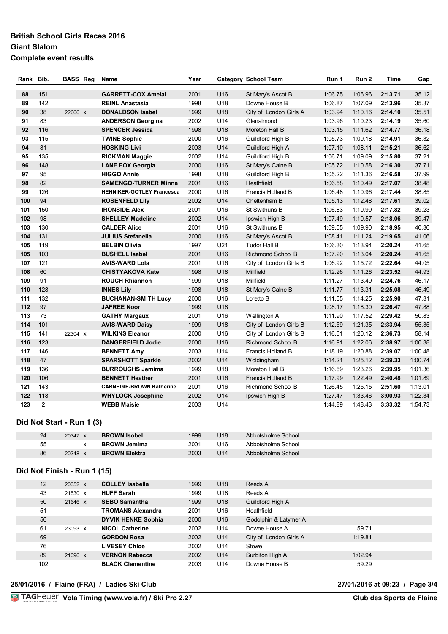### **British School Girls Races 2016 Giant Slalom Complete event results**

| Rank Bib. |     | <b>BASS Reg</b>             | Name                             | Year |     | Category School Team     | Run 1   | Run 2   | Time    | Gap     |
|-----------|-----|-----------------------------|----------------------------------|------|-----|--------------------------|---------|---------|---------|---------|
| 88        | 151 |                             | <b>GARRETT-COX Amelai</b>        | 2001 | U16 | St Mary's Ascot B        | 1:06.75 | 1:06.96 | 2:13.71 | 35.12   |
| 89        | 142 |                             | <b>REINL Anastasia</b>           | 1998 | U18 | Downe House B            | 1:06.87 | 1:07.09 | 2:13.96 | 35.37   |
| 90        | 38  | 22666 X                     | <b>DONALDSON Isabel</b>          | 1999 | U18 | City of London Girls A   | 1:03.94 | 1:10.16 | 2:14.10 | 35.51   |
| 91        | 83  |                             | <b>ANDERSON Georgina</b>         | 2002 | U14 | Glenalmond               | 1:03.96 | 1:10.23 | 2:14.19 | 35.60   |
| 92        | 116 |                             | <b>SPENCER Jessica</b>           | 1998 | U18 | Moreton Hall B           | 1:03.15 | 1:11.62 | 2:14.77 | 36.18   |
| 93        | 115 |                             | <b>TWINE Sophie</b>              | 2000 | U16 | Guildford High B         | 1:05.73 | 1:09.18 | 2:14.91 | 36.32   |
| 94        | 81  |                             | <b>HOSKING Livi</b>              | 2003 | U14 | Guildford High A         | 1:07.10 | 1:08.11 | 2:15.21 | 36.62   |
| 95        | 135 |                             | <b>RICKMAN Maggie</b>            | 2002 | U14 | Guildford High B         | 1:06.71 | 1:09.09 | 2:15.80 | 37.21   |
| 96        | 148 |                             | <b>LANE FOX Georgia</b>          | 2000 | U16 | St Mary's Calne B        | 1:05.72 | 1:10.58 | 2:16.30 | 37.71   |
| 97        | 95  |                             | <b>HIGGO Annie</b>               | 1998 | U18 | Guildford High B         | 1:05.22 | 1:11.36 | 2:16.58 | 37.99   |
| 98        | 82  |                             | <b>SAMENGO-TURNER Minna</b>      | 2001 | U16 | Heathfield               | 1:06.58 | 1:10.49 | 2:17.07 | 38.48   |
| 99        | 126 |                             | <b>HENNIKER-GOTLEY Francesca</b> | 2000 | U16 | Francis Holland B        | 1:06.48 | 1:10.96 | 2:17.44 | 38.85   |
| 100       | 94  |                             | <b>ROSENFELD Lily</b>            | 2002 | U14 | Cheltenham B             | 1:05.13 | 1:12.48 | 2:17.61 | 39.02   |
| 101       | 150 |                             | <b>IRONSIDE Alex</b>             | 2001 | U16 | St Swithuns B            | 1:06.83 | 1:10.99 | 2:17.82 | 39.23   |
| 102       | 98  |                             | <b>SHELLEY Madeline</b>          | 2002 | U14 | Ipswich High B           | 1:07.49 | 1:10.57 | 2:18.06 | 39.47   |
| 103       | 130 |                             | <b>CALDER Alice</b>              | 2001 | U16 | St Swithuns B            | 1:09.05 | 1:09.90 | 2:18.95 | 40.36   |
| 104       | 131 |                             | <b>JULIUS Stefanella</b>         | 2000 | U16 | St Mary's Ascot B        | 1:08.41 | 1:11.24 | 2:19.65 | 41.06   |
| 105       | 119 |                             | <b>BELBIN Olivia</b>             | 1997 | U21 | <b>Tudor Hall B</b>      | 1:06.30 | 1:13.94 | 2:20.24 | 41.65   |
| 105       | 103 |                             | <b>BUSHELL Isabel</b>            | 2001 | U16 | <b>Richmond School B</b> | 1:07.20 | 1:13.04 | 2:20.24 | 41.65   |
| 107       | 121 |                             | <b>AVIS-WARD Lola</b>            | 2001 | U16 | City of London Girls B   | 1:06.92 | 1:15.72 | 2:22.64 | 44.05   |
| 108       | 60  |                             | <b>CHISTYAKOVA Kate</b>          | 1998 | U18 | Millfield                | 1:12.26 | 1:11.26 | 2:23.52 | 44.93   |
| 109       | 91  |                             | <b>ROUCH Rhiannon</b>            | 1999 | U18 | Millfield                | 1:11.27 | 1:13.49 | 2:24.76 | 46.17   |
| 110       | 128 |                             | <b>INNES Lily</b>                | 1998 | U18 | St Mary's Calne B        | 1:11.77 | 1:13.31 | 2:25.08 | 46.49   |
| 111       | 132 |                             | <b>BUCHANAN-SMITH Lucy</b>       | 2000 | U16 | Loretto B                | 1:11.65 | 1:14.25 | 2:25.90 | 47.31   |
| 112       | 97  |                             | <b>JAFREE Noor</b>               | 1999 | U18 |                          | 1:08.17 | 1:18.30 | 2:26.47 | 47.88   |
| 113       | 73  |                             | <b>GATHY Margaux</b>             | 2001 | U16 | Wellington A             | 1:11.90 | 1:17.52 | 2:29.42 | 50.83   |
| 114       | 101 |                             | <b>AVIS-WARD Daisy</b>           | 1999 | U18 | City of London Girls B   | 1:12.59 | 1:21.35 | 2:33.94 | 55.35   |
| 115       | 141 | 22304 X                     | <b>WILKINS Eleanor</b>           | 2000 | U16 | City of London Girls B   | 1:16.61 | 1:20.12 | 2:36.73 | 58.14   |
| 116       | 123 |                             | <b>DANGERFIELD Jodie</b>         | 2000 | U16 | Richmond School B        | 1:16.91 | 1:22.06 | 2:38.97 | 1:00.38 |
| 117       | 146 |                             | <b>BENNETT Amy</b>               | 2003 | U14 | Francis Holland B        | 1:18.19 | 1:20.88 | 2:39.07 | 1:00.48 |
| 118       | 47  |                             | <b>SPARSHOTT Sparkle</b>         | 2002 | U14 | Woldingham               | 1:14.21 | 1:25.12 | 2:39.33 | 1:00.74 |
| 119       | 136 |                             | <b>BURROUGHS Jemima</b>          | 1999 | U18 | Moreton Hall B           | 1:16.69 | 1:23.26 | 2:39.95 | 1:01.36 |
| 120       | 106 |                             | <b>BENNETT Heather</b>           | 2001 | U16 | Francis Holland B        | 1:17.99 | 1:22.49 | 2:40.48 | 1:01.89 |
| 121       | 143 |                             | <b>CARNEGIE-BROWN Katherine</b>  | 2001 | U16 | <b>Richmond School B</b> | 1:26.45 | 1:25.15 | 2:51.60 | 1:13.01 |
| 122       | 118 |                             | <b>WHYLOCK Josephine</b>         | 2002 | U14 | Ipswich High B           | 1:27.47 | 1:33.46 | 3:00.93 | 1:22.34 |
| 123       | 2   | Did Not Start - Run 1 (3)   | <b>WEBB Maisie</b>               | 2003 | U14 |                          | 1:44.89 | 1:48.43 | 3:33.32 | 1:54.73 |
|           | 24  | 20347 x                     | <b>BROWN Isobel</b>              | 1999 | U18 | Abbotsholme School       |         |         |         |         |
|           | 55  | X                           | <b>BROWN Jemima</b>              | 2001 | U16 | Abbotsholme School       |         |         |         |         |
|           | 86  | 20348 x                     | <b>BROWN Elektra</b>             | 2003 | U14 | Abbotsholme School       |         |         |         |         |
|           |     | Did Not Finish - Run 1 (15) |                                  |      |     |                          |         |         |         |         |
|           | 12  | 20352 X                     | <b>COLLEY Isabella</b>           | 1999 | U18 | Reeds A                  |         |         |         |         |
|           | 43  | 21530 x                     | <b>HUFF Sarah</b>                | 1999 | U18 | Reeds A                  |         |         |         |         |
|           | 50  | 21646 X                     | <b>SEBO Samantha</b>             | 1999 | U18 | Guildford High A         |         |         |         |         |
|           | 51  |                             | <b>TROMANS Alexandra</b>         | 2001 | U16 | Heathfield               |         |         |         |         |
|           | 56  |                             | <b>DYVIK HENKE Sophia</b>        | 2000 | U16 | Godolphin & Latymer A    |         |         |         |         |
|           | 61  | 23093 X                     | <b>NICOL Catherine</b>           | 2002 | U14 | Downe House A            |         | 59.71   |         |         |
|           | 69  |                             | <b>GORDON Rosa</b>               | 2002 | U14 | City of London Girls A   |         | 1:19.81 |         |         |
|           | 76  |                             | <b>LIVESEY Chloe</b>             | 2002 | U14 | Stowe                    |         |         |         |         |
|           | 89  | 21096 X                     | <b>VERNON Rebecca</b>            | 2002 | U14 | Surbiton High A          |         | 1:02.94 |         |         |
|           | 102 |                             | <b>BLACK Clementine</b>          | 2003 | U14 | Downe House B            |         | 59.29   |         |         |

**25/01/2016 / Flaine (FRA) / Ladies Ski Club 27/01/2016 at 09:23 / Page 3/4**

**Vola Timing (www.vola.fr) / Ski Pro 2.27 Club des Sports de Flaine**